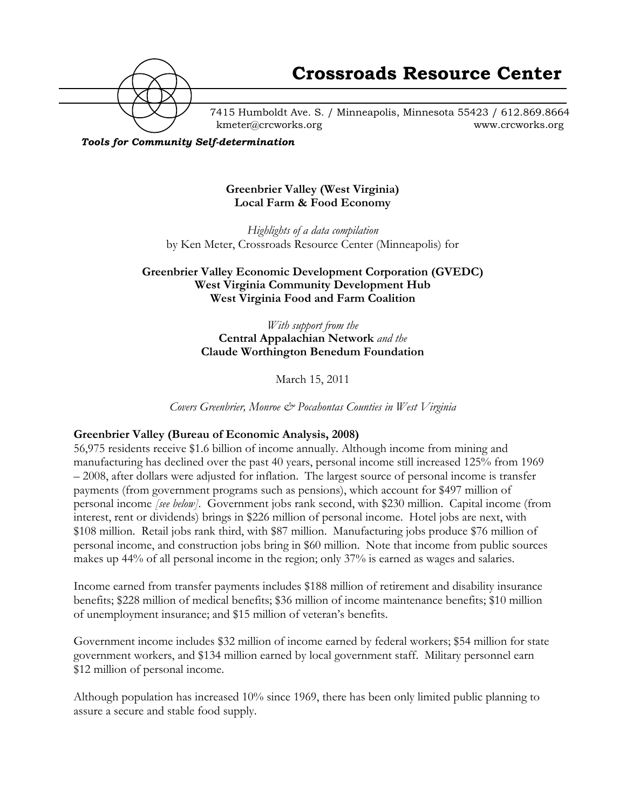

7415 Humboldt Ave. S. / Minneapolis, Minnesota 55423 / 612.869.8664 kmeter@crcworks.org www.crcworks.org

*Tools for Community Self-determination*

### **Greenbrier Valley (West Virginia) Local Farm & Food Economy**

*Highlights of a data compilation* by Ken Meter, Crossroads Resource Center (Minneapolis) for

## **Greenbrier Valley Economic Development Corporation (GVEDC) West Virginia Community Development Hub West Virginia Food and Farm Coalition**

*With support from the* **Central Appalachian Network** *and the* **Claude Worthington Benedum Foundation**

March 15, 2011

*Covers Greenbrier, Monroe & Pocahontas Counties in West Virginia*

### **Greenbrier Valley (Bureau of Economic Analysis, 2008)**

56,975 residents receive \$1.6 billion of income annually. Although income from mining and manufacturing has declined over the past 40 years, personal income still increased 125% from 1969 – 2008, after dollars were adjusted for inflation. The largest source of personal income is transfer payments (from government programs such as pensions), which account for \$497 million of personal income *[see below]*. Government jobs rank second, with \$230 million. Capital income (from interest, rent or dividends) brings in \$226 million of personal income. Hotel jobs are next, with \$108 million. Retail jobs rank third, with \$87 million. Manufacturing jobs produce \$76 million of personal income, and construction jobs bring in \$60 million. Note that income from public sources makes up 44% of all personal income in the region; only 37% is earned as wages and salaries.

Income earned from transfer payments includes \$188 million of retirement and disability insurance benefits; \$228 million of medical benefits; \$36 million of income maintenance benefits; \$10 million of unemployment insurance; and \$15 million of veteran's benefits.

Government income includes \$32 million of income earned by federal workers; \$54 million for state government workers, and \$134 million earned by local government staff. Military personnel earn \$12 million of personal income.

Although population has increased 10% since 1969, there has been only limited public planning to assure a secure and stable food supply.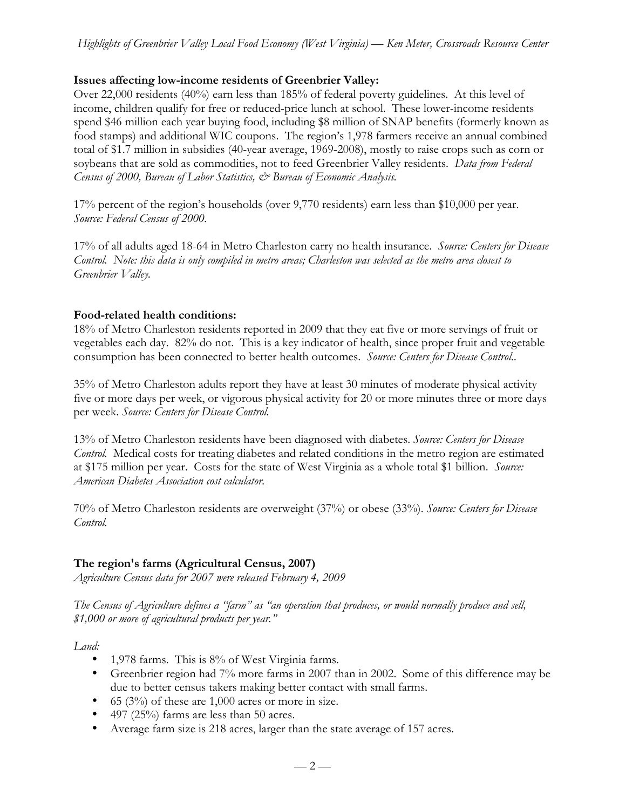## **Issues affecting low-income residents of Greenbrier Valley:**

Over 22,000 residents (40%) earn less than 185% of federal poverty guidelines. At this level of income, children qualify for free or reduced-price lunch at school. These lower-income residents spend \$46 million each year buying food, including \$8 million of SNAP benefits (formerly known as food stamps) and additional WIC coupons. The region's 1,978 farmers receive an annual combined total of \$1.7 million in subsidies (40-year average, 1969-2008), mostly to raise crops such as corn or soybeans that are sold as commodities, not to feed Greenbrier Valley residents. *Data from Federal Census of 2000, Bureau of Labor Statistics, & Bureau of Economic Analysis.*

17% percent of the region's households (over 9,770 residents) earn less than \$10,000 per year. *Source: Federal Census of 2000.*

17% of all adults aged 18-64 in Metro Charleston carry no health insurance. *Source: Centers for Disease Control. Note: this data is only compiled in metro areas; Charleston was selected as the metro area closest to Greenbrier Valley.*

### **Food-related health conditions:**

18% of Metro Charleston residents reported in 2009 that they eat five or more servings of fruit or vegetables each day. 82% do not. This is a key indicator of health, since proper fruit and vegetable consumption has been connected to better health outcomes. *Source: Centers for Disease Control..*

35% of Metro Charleston adults report they have at least 30 minutes of moderate physical activity five or more days per week, or vigorous physical activity for 20 or more minutes three or more days per week. *Source: Centers for Disease Control.*

13% of Metro Charleston residents have been diagnosed with diabetes. *Source: Centers for Disease Control.* Medical costs for treating diabetes and related conditions in the metro region are estimated at \$175 million per year. Costs for the state of West Virginia as a whole total \$1 billion. *Source: American Diabetes Association cost calculator.*

70% of Metro Charleston residents are overweight (37%) or obese (33%). *Source: Centers for Disease Control.*

# **The region's farms (Agricultural Census, 2007)**

*Agriculture Census data for 2007 were released February 4, 2009*

*The Census of Agriculture defines a "farm" as "an operation that produces, or would normally produce and sell, \$1,000 or more of agricultural products per year."*

*Land:*

- 1,978 farms. This is 8% of West Virginia farms.
- Greenbrier region had 7% more farms in 2007 than in 2002. Some of this difference may be due to better census takers making better contact with small farms.
- 65 ( $3\%$ ) of these are 1,000 acres or more in size.
- 497 (25%) farms are less than 50 acres.
- Average farm size is 218 acres, larger than the state average of 157 acres.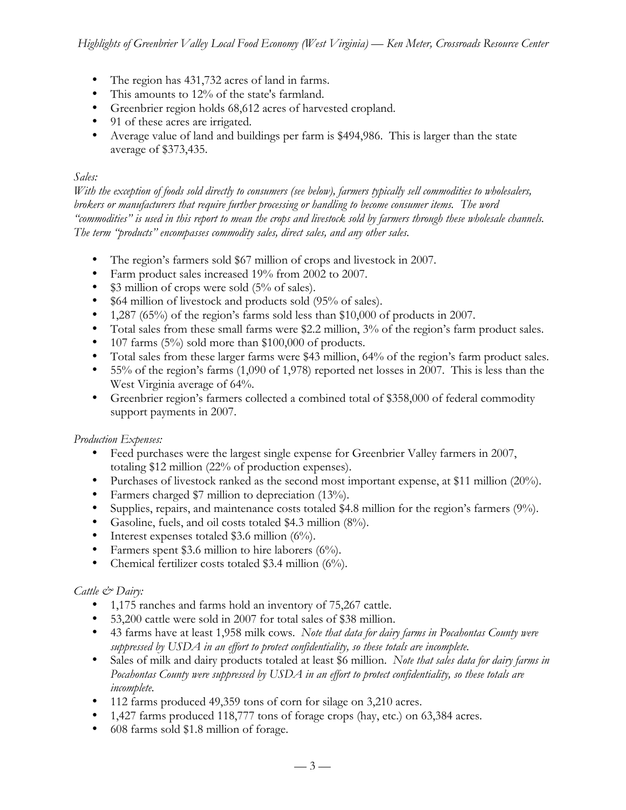- The region has 431,732 acres of land in farms.
- This amounts to 12% of the state's farmland.
- Greenbrier region holds 68,612 acres of harvested cropland.
- 91 of these acres are irrigated.
- Average value of land and buildings per farm is \$494,986. This is larger than the state average of \$373,435.

### *Sales:*

*With the exception of foods sold directly to consumers (see below), farmers typically sell commodities to wholesalers, brokers or manufacturers that require further processing or handling to become consumer items. The word "commodities" is used in this report to mean the crops and livestock sold by farmers through these wholesale channels. The term "products" encompasses commodity sales, direct sales, and any other sales.*

- The region's farmers sold \$67 million of crops and livestock in 2007.
- Farm product sales increased 19% from 2002 to 2007.
- \$3 million of crops were sold (5% of sales).
- \$64 million of livestock and products sold (95% of sales).
- 1,287 (65%) of the region's farms sold less than \$10,000 of products in 2007.
- Total sales from these small farms were \$2.2 million, 3% of the region's farm product sales.
- 107 farms (5%) sold more than \$100,000 of products.
- Total sales from these larger farms were \$43 million, 64% of the region's farm product sales.
- 55% of the region's farms (1,090 of 1,978) reported net losses in 2007. This is less than the West Virginia average of 64%.
- Greenbrier region's farmers collected a combined total of \$358,000 of federal commodity support payments in 2007.

### *Production Expenses:*

- Feed purchases were the largest single expense for Greenbrier Valley farmers in 2007, totaling \$12 million (22% of production expenses).
- Purchases of livestock ranked as the second most important expense, at \$11 million (20%).
- Farmers charged \$7 million to depreciation (13%).
- Supplies, repairs, and maintenance costs totaled \$4.8 million for the region's farmers (9%).
- Gasoline, fuels, and oil costs totaled \$4.3 million (8%).
- Interest expenses totaled \$3.6 million  $(6\%)$ .
- Farmers spent \$3.6 million to hire laborers (6%).
- Chemical fertilizer costs totaled \$3.4 million (6%).

### *Cattle & Dairy:*

- 1,175 ranches and farms hold an inventory of 75,267 cattle.
- 53,200 cattle were sold in 2007 for total sales of \$38 million.
- 43 farms have at least 1,958 milk cows. *Note that data for dairy farms in Pocahontas County were suppressed by USDA in an effort to protect confidentiality, so these totals are incomplete.*
- Sales of milk and dairy products totaled at least \$6 million. *Note that sales data for dairy farms in Pocahontas County were suppressed by USDA in an effort to protect confidentiality, so these totals are incomplete.*
- 112 farms produced 49,359 tons of corn for silage on 3,210 acres.
- 1,427 farms produced 118,777 tons of forage crops (hay, etc.) on 63,384 acres.
- 608 farms sold \$1.8 million of forage.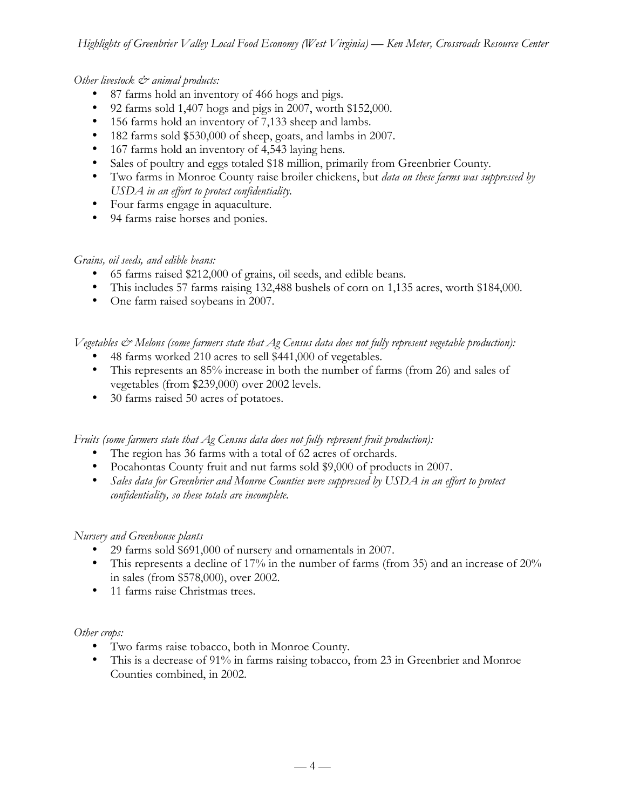## *Other livestock & animal products:*

- 87 farms hold an inventory of 466 hogs and pigs.
- 92 farms sold 1,407 hogs and pigs in 2007, worth \$152,000.
- 156 farms hold an inventory of 7,133 sheep and lambs.
- 182 farms sold \$530,000 of sheep, goats, and lambs in 2007.
- 167 farms hold an inventory of 4,543 laying hens.
- Sales of poultry and eggs totaled \$18 million, primarily from Greenbrier County.
- Two farms in Monroe County raise broiler chickens, but *data on these farms was suppressed by USDA in an effort to protect confidentiality.*
- Four farms engage in aquaculture.
- 94 farms raise horses and ponies.

### *Grains, oil seeds, and edible beans:*

- 65 farms raised \$212,000 of grains, oil seeds, and edible beans.
- This includes 57 farms raising 132,488 bushels of corn on 1,135 acres, worth \$184,000.
- One farm raised soybeans in 2007.

*Vegetables & Melons (some farmers state that Ag Census data does not fully represent vegetable production):*

- 48 farms worked 210 acres to sell \$441,000 of vegetables.
- This represents an 85% increase in both the number of farms (from 26) and sales of vegetables (from \$239,000) over 2002 levels.
- 30 farms raised 50 acres of potatoes.

*Fruits (some farmers state that Ag Census data does not fully represent fruit production):*

- The region has 36 farms with a total of 62 acres of orchards.
- Pocahontas County fruit and nut farms sold \$9,000 of products in 2007.
- *Sales data for Greenbrier and Monroe Counties were suppressed by USDA in an effort to protect confidentiality, so these totals are incomplete.*

### *Nursery and Greenhouse plants*

- 29 farms sold \$691,000 of nursery and ornamentals in 2007.
- This represents a decline of 17% in the number of farms (from 35) and an increase of 20% in sales (from \$578,000), over 2002.
- 11 farms raise Christmas trees.

### *Other crops:*

- Two farms raise tobacco, both in Monroe County.
- This is a decrease of 91% in farms raising tobacco, from 23 in Greenbrier and Monroe Counties combined, in 2002.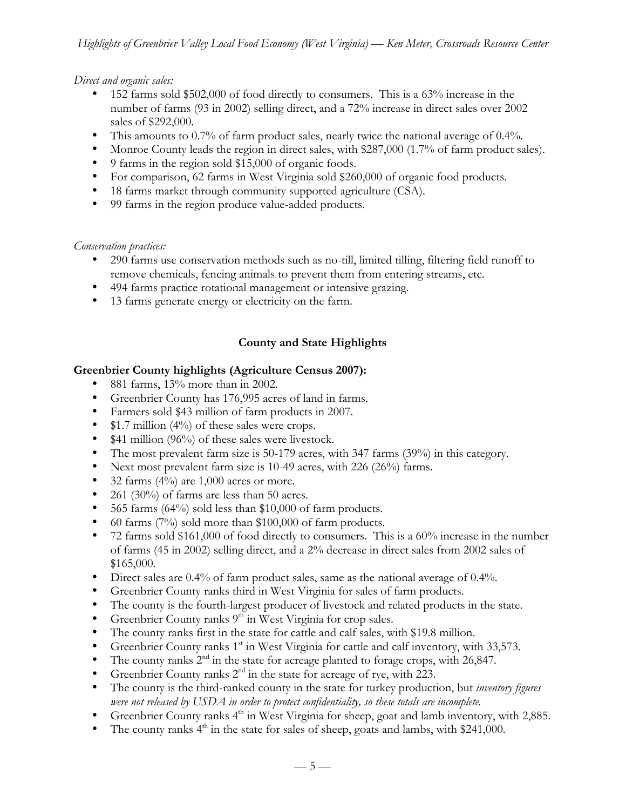### *Direct and organic sales:*

- 152 farms sold \$502,000 of food directly to consumers. This is a 63% increase in the number of farms (93 in 2002) selling direct, and a 72% increase in direct sales over 2002 sales of \$292,000.
- This amounts to 0.7% of farm product sales, nearly twice the national average of 0.4%.
- Monroe County leads the region in direct sales, with \$287,000 (1.7% of farm product sales).
- 9 farms in the region sold \$15,000 of organic foods.
- For comparison, 62 farms in West Virginia sold \$260,000 of organic food products.
- 18 farms market through community supported agriculture (CSA).
- 99 farms in the region produce value-added products.

### *Conservation practices:*

- 290 farms use conservation methods such as no-till, limited tilling, filtering field runoff to remove chemicals, fencing animals to prevent them from entering streams, etc.
- 494 farms practice rotational management or intensive grazing.
- 13 farms generate energy or electricity on the farm.

# **County and State Highlights**

### **Greenbrier County highlights (Agriculture Census 2007):**

- 881 farms, 13% more than in 2002.
- Greenbrier County has 176,995 acres of land in farms.
- Farmers sold \$43 million of farm products in 2007.
- \$1.7 million (4%) of these sales were crops.
- \$41 million (96%) of these sales were livestock.
- The most prevalent farm size is 50-179 acres, with 347 farms (39%) in this category.
- Next most prevalent farm size is 10-49 acres, with 226 (26%) farms.
- 32 farms  $(4\%)$  are 1,000 acres or more.
- 261 (30%) of farms are less than 50 acres.
- 565 farms (64%) sold less than \$10,000 of farm products.
- 60 farms (7%) sold more than \$100,000 of farm products.
- 72 farms sold \$161,000 of food directly to consumers. This is a  $60\%$  increase in the number of farms (45 in 2002) selling direct, and a 2% decrease in direct sales from 2002 sales of \$165,000.
- Direct sales are 0.4% of farm product sales, same as the national average of 0.4%.
- Greenbrier County ranks third in West Virginia for sales of farm products.
- The county is the fourth-largest producer of livestock and related products in the state.
- Greenbrier County ranks  $9<sup>th</sup>$  in West Virginia for crop sales.
- The county ranks first in the state for cattle and calf sales, with \$19.8 million.
- Greenbrier County ranks 1<sup>st</sup> in West Virginia for cattle and calf inventory, with 33,573.
- The county ranks  $2^{nd}$  in the state for acreage planted to forage crops, with 26,847.
- Greenbrier County ranks  $2<sup>nd</sup>$  in the state for acreage of rye, with 223.
- The county is the third-ranked county in the state for turkey production, but *inventory figures were not released by USDA in order to protect confidentiality, so these totals are incomplete.*
- Greenbrier County ranks  $4<sup>th</sup>$  in West Virginia for sheep, goat and lamb inventory, with 2,885.
- The county ranks  $4<sup>th</sup>$  in the state for sales of sheep, goats and lambs, with \$241,000.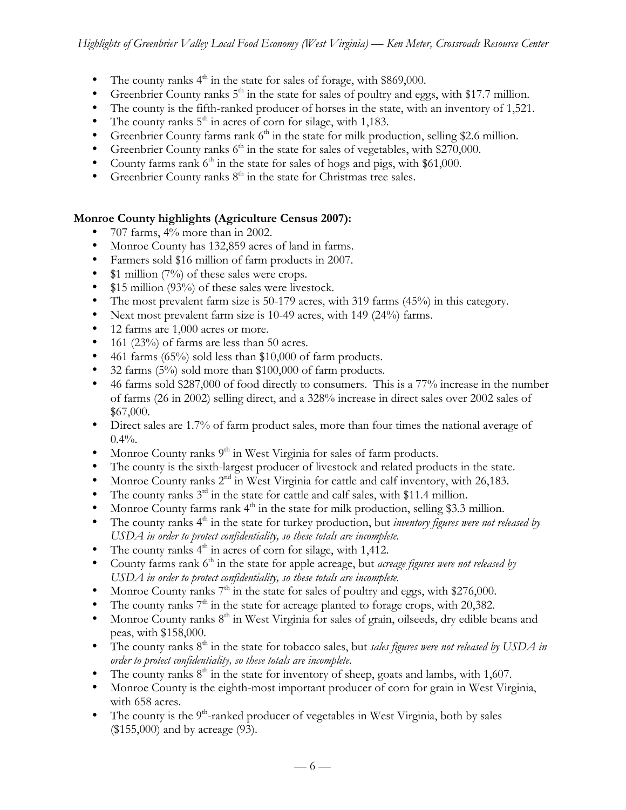- The county ranks  $4<sup>th</sup>$  in the state for sales of forage, with \$869,000.
- Greenbrier County ranks  $5<sup>th</sup>$  in the state for sales of poultry and eggs, with \$17.7 million.
- The county is the fifth-ranked producer of horses in the state, with an inventory of 1,521.
- The county ranks  $5<sup>th</sup>$  in acres of corn for silage, with 1,183.
- Greenbrier County farms rank  $6<sup>th</sup>$  in the state for milk production, selling \$2.6 million.
- Greenbrier County ranks  $6<sup>th</sup>$  in the state for sales of vegetables, with \$270,000.
- County farms rank  $6<sup>th</sup>$  in the state for sales of hogs and pigs, with \$61,000.
- Greenbrier County ranks  $8<sup>th</sup>$  in the state for Christmas tree sales.

# **Monroe County highlights (Agriculture Census 2007):**

- 707 farms,  $4\%$  more than in 2002.
- Monroe County has 132,859 acres of land in farms.
- Farmers sold \$16 million of farm products in 2007.
- \$1 million (7%) of these sales were crops.
- \$15 million (93%) of these sales were livestock.
- The most prevalent farm size is 50-179 acres, with 319 farms (45%) in this category.
- Next most prevalent farm size is 10-49 acres, with 149 (24%) farms.
- 12 farms are 1,000 acres or more.
- 161 (23%) of farms are less than 50 acres.
- 461 farms (65%) sold less than \$10,000 of farm products.
- 32 farms (5%) sold more than \$100,000 of farm products.
- 46 farms sold \$287,000 of food directly to consumers. This is a 77% increase in the number of farms (26 in 2002) selling direct, and a 328% increase in direct sales over 2002 sales of \$67,000.
- Direct sales are 1.7% of farm product sales, more than four times the national average of  $0.4%$ .
- Monroe County ranks  $9<sup>th</sup>$  in West Virginia for sales of farm products.
- The county is the sixth-largest producer of livestock and related products in the state.
- Monroe County ranks 2<sup>nd</sup> in West Virginia for cattle and calf inventory, with 26,183.
- The county ranks  $3^{rd}$  in the state for cattle and calf sales, with \$11.4 million.
- Monroe County farms rank  $4<sup>th</sup>$  in the state for milk production, selling \$3.3 million.
- The county ranks 4<sup>th</sup> in the state for turkey production, but *inventory figures were not released by USDA in order to protect confidentiality, so these totals are incomplete.*
- The county ranks  $4<sup>th</sup>$  in acres of corn for silage, with 1,412.
- County farms rank 6<sup>th</sup> in the state for apple acreage, but *acreage figures were not released by USDA in order to protect confidentiality, so these totals are incomplete.*
- Monroe County ranks  $7<sup>th</sup>$  in the state for sales of poultry and eggs, with \$276,000.
- The county ranks  $7<sup>th</sup>$  in the state for acreage planted to forage crops, with 20,382.
- Monroe County ranks  $8<sup>th</sup>$  in West Virginia for sales of grain, oilseeds, dry edible beans and peas, with \$158,000.
- The county ranks 8<sup>th</sup> in the state for tobacco sales, but *sales figures were not released by USDA in order to protect confidentiality, so these totals are incomplete.*
- The county ranks  $8<sup>th</sup>$  in the state for inventory of sheep, goats and lambs, with 1,607.
- Monroe County is the eighth-most important producer of corn for grain in West Virginia, with 658 acres.
- The county is the  $9<sup>th</sup>$ -ranked producer of vegetables in West Virginia, both by sales (\$155,000) and by acreage (93).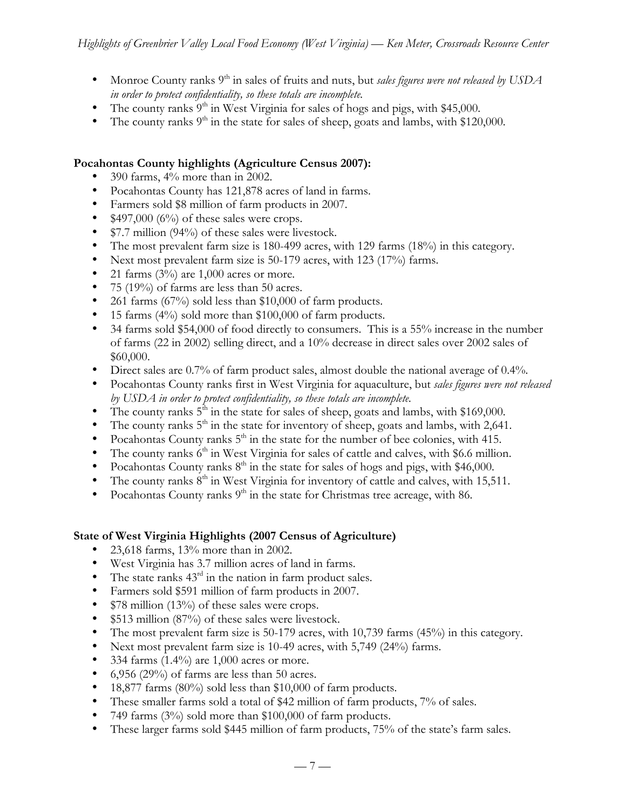- Monroe County ranks 9<sup>th</sup> in sales of fruits and nuts, but *sales figures were not released by USDA in order to protect confidentiality, so these totals are incomplete.*
- The county ranks  $9<sup>th</sup>$  in West Virginia for sales of hogs and pigs, with \$45,000.
- The county ranks  $9<sup>th</sup>$  in the state for sales of sheep, goats and lambs, with \$120,000.

### **Pocahontas County highlights (Agriculture Census 2007):**

- 390 farms, 4% more than in 2002.
- Pocahontas County has 121,878 acres of land in farms.
- Farmers sold \$8 million of farm products in 2007.
- $$497,000 (6%)$  of these sales were crops.
- \$7.7 million (94%) of these sales were livestock.
- The most prevalent farm size is 180-499 acres, with 129 farms (18%) in this category.
- Next most prevalent farm size is 50-179 acres, with 123 (17%) farms.
- 21 farms  $(3\%)$  are 1,000 acres or more.
- 75 (19%) of farms are less than 50 acres.
- 261 farms (67%) sold less than \$10,000 of farm products.
- 15 farms (4%) sold more than \$100,000 of farm products.
- 34 farms sold \$54,000 of food directly to consumers. This is a 55% increase in the number of farms (22 in 2002) selling direct, and a 10% decrease in direct sales over 2002 sales of \$60,000.
- Direct sales are 0.7% of farm product sales, almost double the national average of 0.4%.
- Pocahontas County ranks first in West Virginia for aquaculture, but *sales figures were not released by USDA in order to protect confidentiality, so these totals are incomplete.*
- The county ranks  $5<sup>th</sup>$  in the state for sales of sheep, goats and lambs, with \$169,000.
- The county ranks  $5<sup>th</sup>$  in the state for inventory of sheep, goats and lambs, with 2,641.
- Pocahontas County ranks  $5<sup>th</sup>$  in the state for the number of bee colonies, with 415.
- The county ranks  $6<sup>th</sup>$  in West Virginia for sales of cattle and calves, with \$6.6 million.
- Pocahontas County ranks  $8<sup>th</sup>$  in the state for sales of hogs and pigs, with \$46,000.
- The county ranks  $8<sup>th</sup>$  in West Virginia for inventory of cattle and calves, with 15,511.
- Pocahontas County ranks  $9<sup>th</sup>$  in the state for Christmas tree acreage, with 86.

### **State of West Virginia Highlights (2007 Census of Agriculture)**

- 23,618 farms, 13% more than in 2002.
- West Virginia has 3.7 million acres of land in farms.
- The state ranks  $43<sup>rd</sup>$  in the nation in farm product sales.
- Farmers sold \$591 million of farm products in 2007.
- \$78 million (13%) of these sales were crops.
- \$513 million (87%) of these sales were livestock.
- The most prevalent farm size is 50-179 acres, with 10,739 farms (45%) in this category.
- Next most prevalent farm size is 10-49 acres, with 5,749 (24%) farms.
- 334 farms  $(1.4\%)$  are 1,000 acres or more.
- 6,956 (29%) of farms are less than 50 acres.
- 18,877 farms (80%) sold less than \$10,000 of farm products.
- These smaller farms sold a total of \$42 million of farm products, 7% of sales.
- 749 farms (3%) sold more than \$100,000 of farm products.
- These larger farms sold \$445 million of farm products, 75% of the state's farm sales.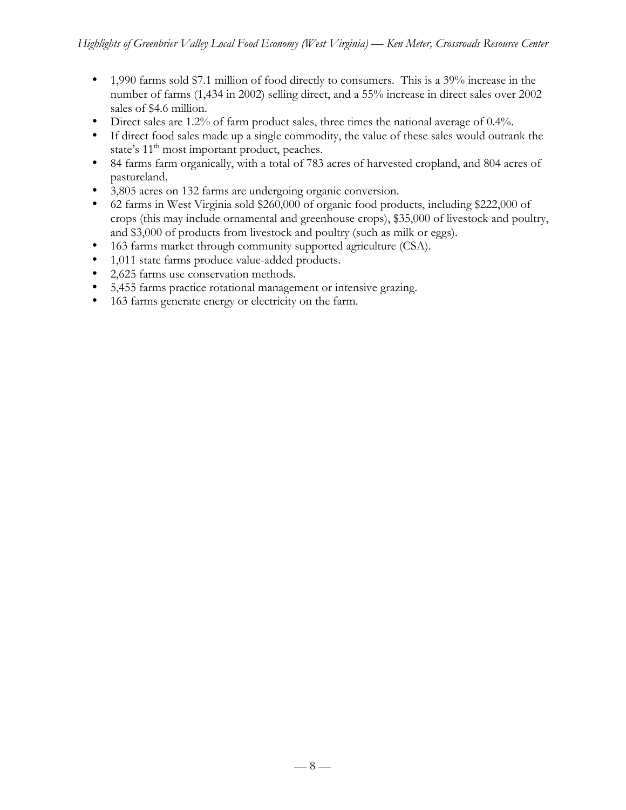- 1,990 farms sold \$7.1 million of food directly to consumers. This is a 39% increase in the number of farms (1,434 in 2002) selling direct, and a 55% increase in direct sales over 2002 sales of \$4.6 million.
- Direct sales are 1.2% of farm product sales, three times the national average of 0.4%.
- If direct food sales made up a single commodity, the value of these sales would outrank the state's 11<sup>th</sup> most important product, peaches.
- 84 farms farm organically, with a total of 783 acres of harvested cropland, and 804 acres of pastureland.
- 3,805 acres on 132 farms are undergoing organic conversion.
- 62 farms in West Virginia sold \$260,000 of organic food products, including \$222,000 of crops (this may include ornamental and greenhouse crops), \$35,000 of livestock and poultry, and \$3,000 of products from livestock and poultry (such as milk or eggs).
- 163 farms market through community supported agriculture (CSA).
- 1,011 state farms produce value-added products.
- 2,625 farms use conservation methods.
- 5,455 farms practice rotational management or intensive grazing.
- 163 farms generate energy or electricity on the farm.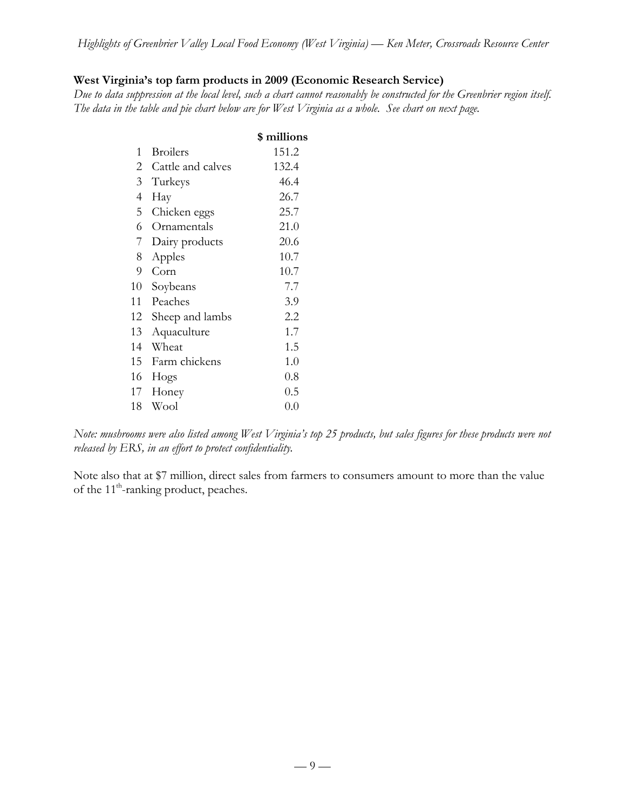# **West Virginia's top farm products in 2009 (Economic Research Service)**

*Due to data suppression at the local level, such a chart cannot reasonably be constructed for the Greenbrier region itself. The data in the table and pie chart below are for West Virginia as a whole. See chart on next page.*

|                |                   | \$ millions |
|----------------|-------------------|-------------|
| 1              | <b>Broilers</b>   | 151.2       |
| 2              | Cattle and calves | 132.4       |
| 3 <sup>1</sup> | Turkeys           | 46.4        |
| 4              | Hay               | 26.7        |
| 5              | Chicken eggs      | 25.7        |
| 6              | Ornamentals       | 21.0        |
| 7              | Dairy products    | 20.6        |
| 8              | Apples            | 10.7        |
| 9              | Corn              | 10.7        |
| 10             | Soybeans          | 7.7         |
| 11             | Peaches           | 3.9         |
| 12             | Sheep and lambs   | 2.2         |
| 13             | Aquaculture       | 1.7         |
| 14             | Wheat             | 1.5         |
| 15             | Farm chickens     | 1.0         |
| 16             | Hogs              | $0.8\,$     |
| 17             | Honey             | $0.5\,$     |
| 18             | Wool              | 0.0         |

*Note: mushrooms were also listed among West Virginia's top 25 products, but sales figures for these products were not released by ERS, in an effort to protect confidentiality.*

Note also that at \$7 million, direct sales from farmers to consumers amount to more than the value of the 11<sup>th</sup>-ranking product, peaches.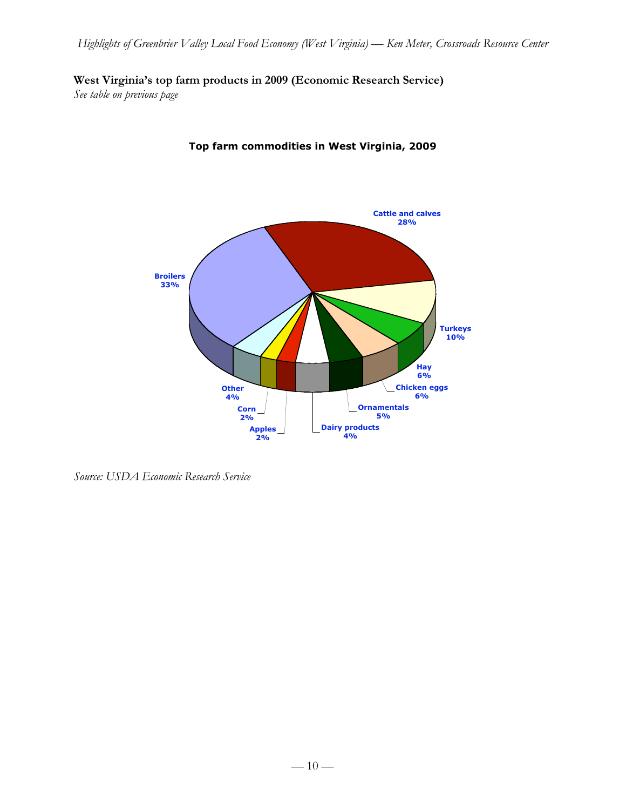# **West Virginia's top farm products in 2009 (Economic Research Service)**

*See table on previous page*



# **Top farm commodities in West Virginia, 2009**

*Source: USDA Economic Research Service*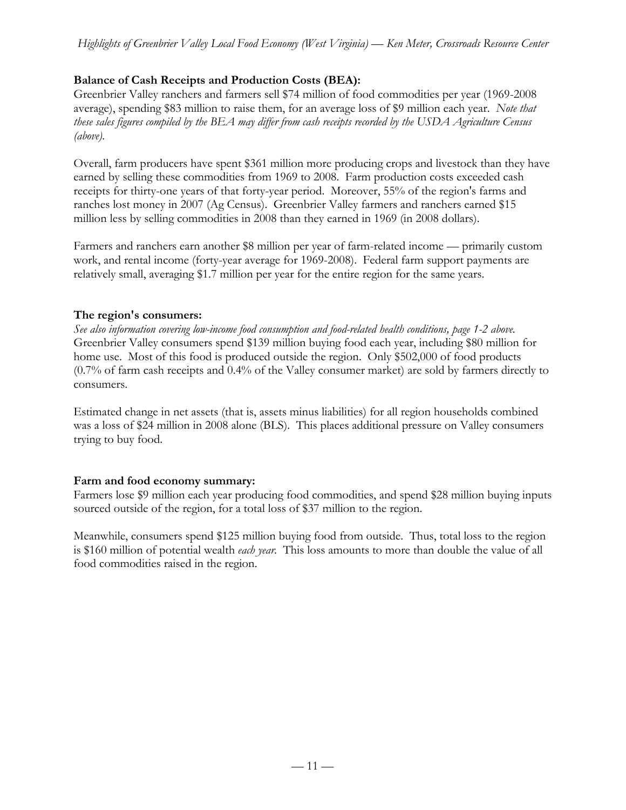# **Balance of Cash Receipts and Production Costs (BEA):**

Greenbrier Valley ranchers and farmers sell \$74 million of food commodities per year (1969-2008 average), spending \$83 million to raise them, for an average loss of \$9 million each year. *Note that these sales figures compiled by the BEA may differ from cash receipts recorded by the USDA Agriculture Census (above).*

Overall, farm producers have spent \$361 million more producing crops and livestock than they have earned by selling these commodities from 1969 to 2008. Farm production costs exceeded cash receipts for thirty-one years of that forty-year period. Moreover, 55% of the region's farms and ranches lost money in 2007 (Ag Census). Greenbrier Valley farmers and ranchers earned \$15 million less by selling commodities in 2008 than they earned in 1969 (in 2008 dollars).

Farmers and ranchers earn another \$8 million per year of farm-related income — primarily custom work, and rental income (forty-year average for 1969-2008). Federal farm support payments are relatively small, averaging \$1.7 million per year for the entire region for the same years.

## **The region's consumers:**

*See also information covering low-income food consumption and food-related health conditions, page 1-2 above.* Greenbrier Valley consumers spend \$139 million buying food each year, including \$80 million for home use. Most of this food is produced outside the region. Only \$502,000 of food products (0.7% of farm cash receipts and 0.4% of the Valley consumer market) are sold by farmers directly to consumers.

Estimated change in net assets (that is, assets minus liabilities) for all region households combined was a loss of \$24 million in 2008 alone (BLS). This places additional pressure on Valley consumers trying to buy food.

# **Farm and food economy summary:**

Farmers lose \$9 million each year producing food commodities, and spend \$28 million buying inputs sourced outside of the region, for a total loss of \$37 million to the region.

Meanwhile, consumers spend \$125 million buying food from outside. Thus, total loss to the region is \$160 million of potential wealth *each year*. This loss amounts to more than double the value of all food commodities raised in the region.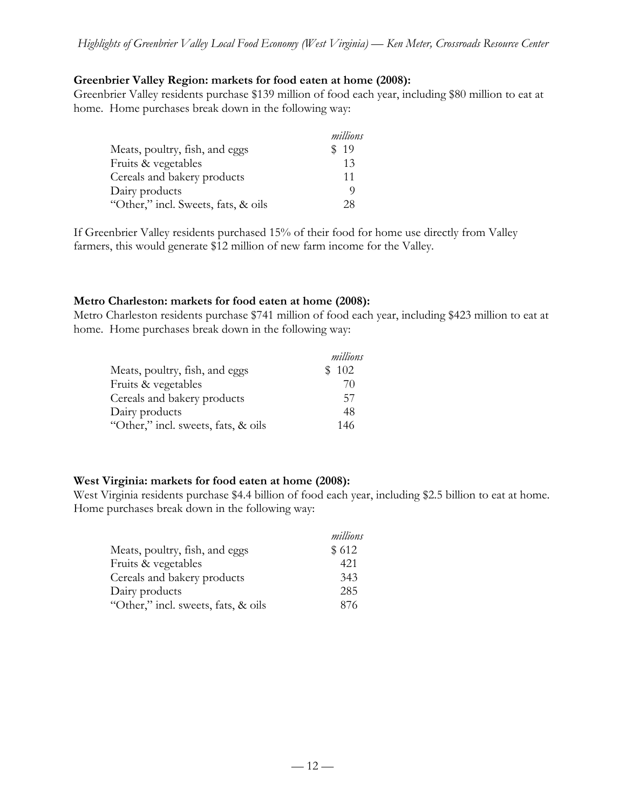#### **Greenbrier Valley Region: markets for food eaten at home (2008):**

Greenbrier Valley residents purchase \$139 million of food each year, including \$80 million to eat at home. Home purchases break down in the following way:

|                                     | millions |
|-------------------------------------|----------|
| Meats, poultry, fish, and eggs      | \$19     |
| Fruits & vegetables                 | 13       |
| Cereals and bakery products         | 11       |
| Dairy products                      | O)       |
| "Other," incl. Sweets, fats, & oils | 28       |

If Greenbrier Valley residents purchased 15% of their food for home use directly from Valley farmers, this would generate \$12 million of new farm income for the Valley.

### **Metro Charleston: markets for food eaten at home (2008):**

Metro Charleston residents purchase \$741 million of food each year, including \$423 million to eat at home. Home purchases break down in the following way:

|                                     | millions |
|-------------------------------------|----------|
| Meats, poultry, fish, and eggs      | \$102    |
| Fruits & vegetables                 | 70       |
| Cereals and bakery products         | 57       |
| Dairy products                      | 48       |
| "Other," incl. sweets, fats, & oils | 146      |

### **West Virginia: markets for food eaten at home (2008):**

West Virginia residents purchase \$4.4 billion of food each year, including \$2.5 billion to eat at home. Home purchases break down in the following way:

|                                     | millions |
|-------------------------------------|----------|
| Meats, poultry, fish, and eggs      | \$612    |
| Fruits & vegetables                 | 421      |
| Cereals and bakery products         | 343      |
| Dairy products                      | 285      |
| "Other," incl. sweets, fats, & oils | 876      |